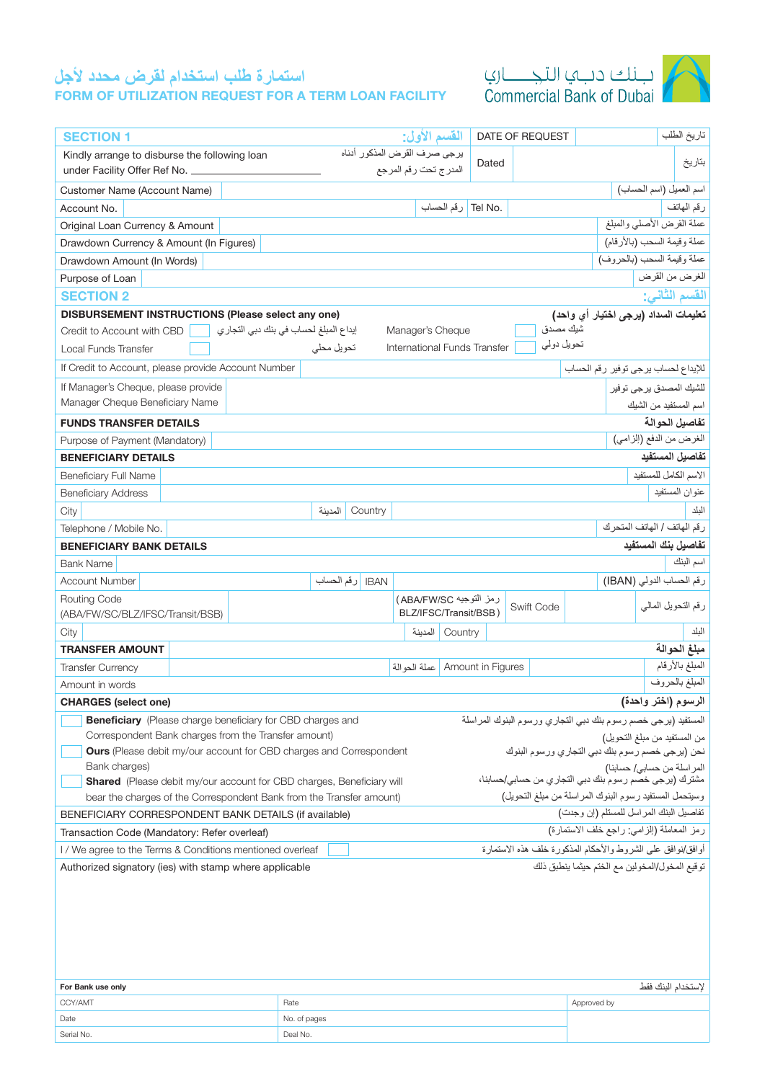# **استمارة طلب استخدام لقرض محدد ألجل**

FORM OF UTILIZATION REQUEST FOR A TERM LOAN FACILITY





| <b>SECTION 1</b>                                                                                                                                                                                                      |  |                                       |            |                              |                                                                                     | القسم الأول:          |                   |                                  | DATE OF REQUEST |            |                                      |                             | تاريخ الطلب     |
|-----------------------------------------------------------------------------------------------------------------------------------------------------------------------------------------------------------------------|--|---------------------------------------|------------|------------------------------|-------------------------------------------------------------------------------------|-----------------------|-------------------|----------------------------------|-----------------|------------|--------------------------------------|-----------------------------|-----------------|
| Kindly arrange to disburse the following loan                                                                                                                                                                         |  |                                       |            | برجى صرف القرض المذكور أدناه |                                                                                     |                       |                   |                                  |                 |            |                                      |                             |                 |
| under Facility Offer Ref No.                                                                                                                                                                                          |  |                                       |            |                              |                                                                                     | المدرج تحت رقم المرجع |                   | Dated                            |                 |            |                                      |                             | بتاريخ          |
| Customer Name (Account Name)                                                                                                                                                                                          |  |                                       |            |                              |                                                                                     |                       |                   |                                  |                 |            |                                      | اسم العميل (اسم الحساب)     |                 |
| Account No.                                                                                                                                                                                                           |  |                                       |            |                              |                                                                                     |                       |                   | .Tel No رقم الحساب               |                 |            |                                      |                             | رقم الهاتف      |
| Original Loan Currency & Amount                                                                                                                                                                                       |  |                                       |            |                              |                                                                                     |                       |                   |                                  |                 |            |                                      | عملة القرض الأصلي والمبلغ   |                 |
| Drawdown Currency & Amount (In Figures)                                                                                                                                                                               |  |                                       |            |                              |                                                                                     |                       |                   |                                  |                 |            |                                      | عملة وقيمة السحب (بالأرقام) |                 |
| Drawdown Amount (In Words)                                                                                                                                                                                            |  |                                       |            |                              |                                                                                     |                       |                   |                                  |                 |            |                                      | عملة وقيمة السحب (بالحروف)  |                 |
| Purpose of Loan                                                                                                                                                                                                       |  |                                       |            |                              |                                                                                     |                       |                   |                                  |                 |            |                                      | الغرض من القرض              |                 |
| <b>SECTION 2</b>                                                                                                                                                                                                      |  |                                       |            |                              |                                                                                     |                       |                   |                                  |                 |            |                                      |                             | القسم الثاني:   |
| DISBURSEMENT INSTRUCTIONS (Please select any one)                                                                                                                                                                     |  |                                       |            |                              |                                                                                     |                       |                   |                                  |                 |            | تعليمات السداد (يرجى اختيار أي واحد) |                             |                 |
| Credit to Account with CBD                                                                                                                                                                                            |  | إيداع المبلغ لحساب في بنك دبي التجاري |            |                              |                                                                                     |                       | Manager's Cheque  |                                  |                 | شيك مصدق   |                                      |                             |                 |
| Local Funds Transfer                                                                                                                                                                                                  |  |                                       | تحويل محلي |                              |                                                                                     |                       |                   | International Funds Transfer     |                 | تحويل دولي |                                      |                             |                 |
| If Credit to Account, please provide Account Number                                                                                                                                                                   |  |                                       |            |                              |                                                                                     |                       |                   |                                  |                 |            | للإيداع لحساب يرجى توفير رقم الحساب  |                             |                 |
| If Manager's Cheque, please provide                                                                                                                                                                                   |  |                                       |            |                              |                                                                                     |                       |                   |                                  |                 |            |                                      | للشيك المصدق پر جي تو فير   |                 |
| Manager Cheque Beneficiary Name                                                                                                                                                                                       |  |                                       |            |                              |                                                                                     |                       |                   |                                  |                 |            |                                      | اسم المستفيد من الشيك       |                 |
| <b>FUNDS TRANSFER DETAILS</b>                                                                                                                                                                                         |  |                                       |            |                              |                                                                                     |                       |                   |                                  |                 |            |                                      |                             | تفاصيل الحوالة  |
| Purpose of Payment (Mandatory)                                                                                                                                                                                        |  |                                       |            |                              |                                                                                     |                       |                   |                                  |                 |            |                                      | الغرض من الدفع (إلزامي)     |                 |
| <b>BENEFICIARY DETAILS</b>                                                                                                                                                                                            |  |                                       |            |                              |                                                                                     |                       |                   |                                  |                 |            |                                      | تفاصيل المستفيد             |                 |
| <b>Beneficiary Full Name</b>                                                                                                                                                                                          |  |                                       |            |                              |                                                                                     |                       |                   |                                  |                 |            |                                      | الاسم الكامل للمستفيد       |                 |
| <b>Beneficiary Address</b>                                                                                                                                                                                            |  |                                       |            |                              |                                                                                     |                       |                   |                                  |                 |            |                                      |                             | عنوان المستفيد  |
| City                                                                                                                                                                                                                  |  |                                       | المدبنة    | Country                      |                                                                                     |                       |                   |                                  |                 |            |                                      | رقم الهاتف / الهاتف المتحرك | الىلد           |
| Telephone / Mobile No.                                                                                                                                                                                                |  |                                       |            |                              |                                                                                     |                       |                   |                                  |                 |            |                                      | تفاصيل بنك المستفيد         |                 |
| <b>BENEFICIARY BANK DETAILS</b><br><b>Bank Name</b>                                                                                                                                                                   |  |                                       |            |                              |                                                                                     |                       |                   |                                  |                 |            |                                      |                             | اسم البنك       |
| <b>Account Number</b>                                                                                                                                                                                                 |  |                                       |            | BAN  رقم الحساب              |                                                                                     |                       |                   |                                  |                 |            |                                      | رقم الحساب الدولي (IBAN)    |                 |
| <b>Routing Code</b>                                                                                                                                                                                                   |  |                                       |            |                              |                                                                                     |                       |                   |                                  |                 |            |                                      |                             |                 |
| (ABA/FW/SC/BLZ/IFSC/Transit/BSB)                                                                                                                                                                                      |  |                                       |            |                              | رمز التوجيه ABA/FW/SC)<br>رقم التحويل المالي<br>Swift Code<br>BLZ/IFSC/Transit/BSB) |                       |                   |                                  |                 |            |                                      |                             |                 |
| City                                                                                                                                                                                                                  |  |                                       |            |                              |                                                                                     |                       | Country   المدينة |                                  |                 |            |                                      |                             | البلد           |
| <b>TRANSFER AMOUNT</b>                                                                                                                                                                                                |  |                                       |            |                              |                                                                                     |                       |                   |                                  |                 |            |                                      |                             | مبلغ الحوالة    |
| <b>Transfer Currency</b>                                                                                                                                                                                              |  |                                       |            |                              |                                                                                     |                       |                   | Amount in Figures   عملة الحوالة |                 |            |                                      |                             | المبلغ بالأرقام |
| Amount in words                                                                                                                                                                                                       |  |                                       |            |                              |                                                                                     |                       |                   |                                  |                 |            |                                      |                             | المبلغ بالحروف  |
| الرسوم (اختر واحدة)<br><b>CHARGES</b> (select one)                                                                                                                                                                    |  |                                       |            |                              |                                                                                     |                       |                   |                                  |                 |            |                                      |                             |                 |
| <b>Beneficiary</b> (Please charge beneficiary for CBD charges and<br>المستفيد (برجي خصم رسوم بنك دبي التجاري ورسوم البنوك المراسلة                                                                                    |  |                                       |            |                              |                                                                                     |                       |                   |                                  |                 |            |                                      |                             |                 |
| Correspondent Bank charges from the Transfer amount)<br>من المستفيد من مبلغ التحويل)<br>نحن (يرجى خصم رسوم بنك دبي التجاري ورسوم البنوك<br><b>Ours</b> (Please debit my/our account for CBD charges and Correspondent |  |                                       |            |                              |                                                                                     |                       |                   |                                  |                 |            |                                      |                             |                 |
| Bank charges)<br>المراسلة من حسابي/ حسابنا)                                                                                                                                                                           |  |                                       |            |                              |                                                                                     |                       |                   |                                  |                 |            |                                      |                             |                 |
| مشترك (برجي خصّم رسوم بنك دبي النجاري من حسابي/حسابنا،<br><b>Shared</b> (Please debit my/our account for CBD charges, Beneficiary will                                                                                |  |                                       |            |                              |                                                                                     |                       |                   |                                  |                 |            |                                      |                             |                 |
| وسيتحمل المستفيد رسوم البنوك المراسلة من مبلغ التحويل)<br>bear the charges of the Correspondent Bank from the Transfer amount)                                                                                        |  |                                       |            |                              |                                                                                     |                       |                   |                                  |                 |            |                                      |                             |                 |
| تفاصيل البنك المراسل للمستلم (إن وجدت)<br>BENEFICIARY CORRESPONDENT BANK DETAILS (if available)                                                                                                                       |  |                                       |            |                              |                                                                                     |                       |                   |                                  |                 |            |                                      |                             |                 |
| رمز المعاملة (الزامي: راجع خلف الاستمارة)<br>Transaction Code (Mandatory: Refer overleaf)                                                                                                                             |  |                                       |            |                              |                                                                                     |                       |                   |                                  |                 |            |                                      |                             |                 |
| أوافق/نوافق على الشروط والأحكام المذكورة خلف هذه الاستمارة<br>I / We agree to the Terms & Conditions mentioned overleaf                                                                                               |  |                                       |            |                              |                                                                                     |                       |                   |                                  |                 |            |                                      |                             |                 |
| توقيع المخول/المخولين مع الختم حيثما ينطبق ذلك<br>Authorized signatory (ies) with stamp where applicable                                                                                                              |  |                                       |            |                              |                                                                                     |                       |                   |                                  |                 |            |                                      |                             |                 |
|                                                                                                                                                                                                                       |  |                                       |            |                              |                                                                                     |                       |                   |                                  |                 |            |                                      |                             |                 |
|                                                                                                                                                                                                                       |  |                                       |            |                              |                                                                                     |                       |                   |                                  |                 |            |                                      |                             |                 |
|                                                                                                                                                                                                                       |  |                                       |            |                              |                                                                                     |                       |                   |                                  |                 |            |                                      |                             |                 |
|                                                                                                                                                                                                                       |  |                                       |            |                              |                                                                                     |                       |                   |                                  |                 |            |                                      |                             |                 |
|                                                                                                                                                                                                                       |  |                                       |            |                              |                                                                                     |                       |                   |                                  |                 |            |                                      |                             |                 |

| For Bank use only |              | البنك فقط<br>こくせいきき |
|-------------------|--------------|---------------------|
| CCY/AMT           | Rate         | Approved by         |
| Date              | No. of pages |                     |
| Serial No.        | Deal No.     |                     |
|                   |              |                     |